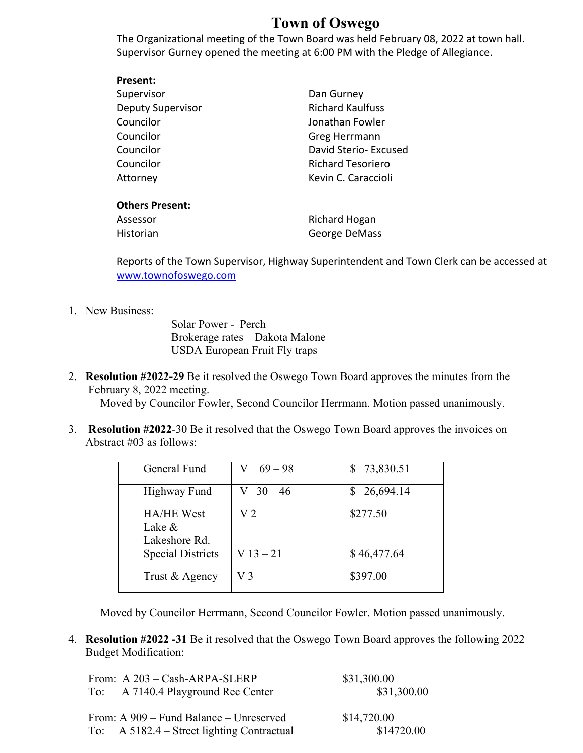## **Town of Oswego**

The Organizational meeting of the Town Board was held February 08, 2022 at town hall. Supervisor Gurney opened the meeting at 6:00 PM with the Pledge of Allegiance.

| Present:          |                          |
|-------------------|--------------------------|
| Supervisor        | Dan Gurney               |
| Deputy Supervisor | <b>Richard Kaulfuss</b>  |
| Councilor         | Jonathan Fowler          |
| Councilor         | Greg Herrmann            |
| Councilor         | David Sterio- Excused    |
| Councilor         | <b>Richard Tesoriero</b> |
| Attorney          | Kevin C. Caraccioli      |
|                   |                          |

## **Others Present:**

| Assessor  | Richard Hogan |
|-----------|---------------|
| Historian | George DeMass |

Reports of the Town Supervisor, Highway Superintendent and Town Clerk can be accessed at www.townofoswego.com

## 1. New Business:

Solar Power - Perch Brokerage rates – Dakota Malone USDA European Fruit Fly traps

- 2. **Resolution #2022-29** Be it resolved the Oswego Town Board approves the minutes from the February 8, 2022 meeting. Moved by Councilor Fowler, Second Councilor Herrmann. Motion passed unanimously.
- 3. **Resolution #2022**-30 Be it resolved that the Oswego Town Board approves the invoices on Abstract #03 as follows:

| General Fund                                 | $69 - 98$       | 73,830.51   |
|----------------------------------------------|-----------------|-------------|
| <b>Highway Fund</b>                          | $V \quad 30-46$ | 26,694.14   |
| <b>HA/HE West</b><br>Lake &<br>Lakeshore Rd. | V 2             | \$277.50    |
| <b>Special Districts</b>                     | $V13 - 21$      | \$46,477.64 |
| Trust & Agency                               | V3              | \$397.00    |

Moved by Councilor Herrmann, Second Councilor Fowler. Motion passed unanimously.

4. **Resolution #2022 -31** Be it resolved that the Oswego Town Board approves the following 2022 Budget Modification:

|     | From: A 203 - Cash-ARPA-SLERP                   | \$31,300.00 |
|-----|-------------------------------------------------|-------------|
| To: | A 7140.4 Playground Rec Center                  | \$31,300.00 |
|     | From: A 909 – Fund Balance – Unreserved         | \$14,720.00 |
|     | To: $A \frac{5182.4 - Street lighting Contract$ | \$14720.00  |